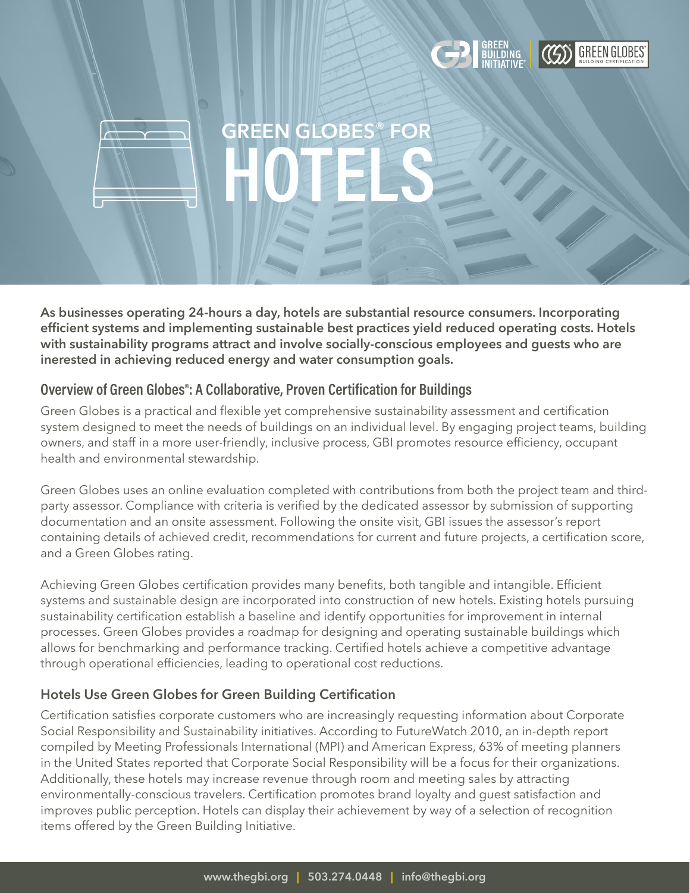

**HOTELS**

**As businesses operating 24-hours a day, hotels are substantial resource consumers. Incorporating efficient systems and implementing sustainable best practices yield reduced operating costs. Hotels with sustainability programs attract and involve socially-conscious employees and guests who are inerested in achieving reduced energy and water consumption goals.**

**GREEN GLOBES® FOR**

## **Overview of Green Globes®: A Collaborative, Proven Certification for Buildings**

Green Globes is a practical and flexible yet comprehensive sustainability assessment and certification system designed to meet the needs of buildings on an individual level. By engaging project teams, building owners, and staff in a more user-friendly, inclusive process, GBI promotes resource efficiency, occupant health and environmental stewardship.

Green Globes uses an online evaluation completed with contributions from both the project team and thirdparty assessor. Compliance with criteria is verified by the dedicated assessor by submission of supporting documentation and an onsite assessment. Following the onsite visit, GBI issues the assessor's report containing details of achieved credit, recommendations for current and future projects, a certification score, and a Green Globes rating.

Achieving Green Globes certification provides many benefits, both tangible and intangible. Efficient systems and sustainable design are incorporated into construction of new hotels. Existing hotels pursuing sustainability certification establish a baseline and identify opportunities for improvement in internal processes. Green Globes provides a roadmap for designing and operating sustainable buildings which allows for benchmarking and performance tracking. Certified hotels achieve a competitive advantage through operational efficiencies, leading to operational cost reductions.

## **Hotels Use Green Globes for Green Building Certification**

Certification satisfies corporate customers who are increasingly requesting information about Corporate Social Responsibility and Sustainability initiatives. According to FutureWatch 2010, an in-depth report compiled by Meeting Professionals International (MPI) and American Express, 63% of meeting planners in the United States reported that Corporate Social Responsibility will be a focus for their organizations. Additionally, these hotels may increase revenue through room and meeting sales by attracting environmentally-conscious travelers. Certification promotes brand loyalty and guest satisfaction and improves public perception. Hotels can display their achievement by way of a selection of recognition items offered by the Green Building Initiative.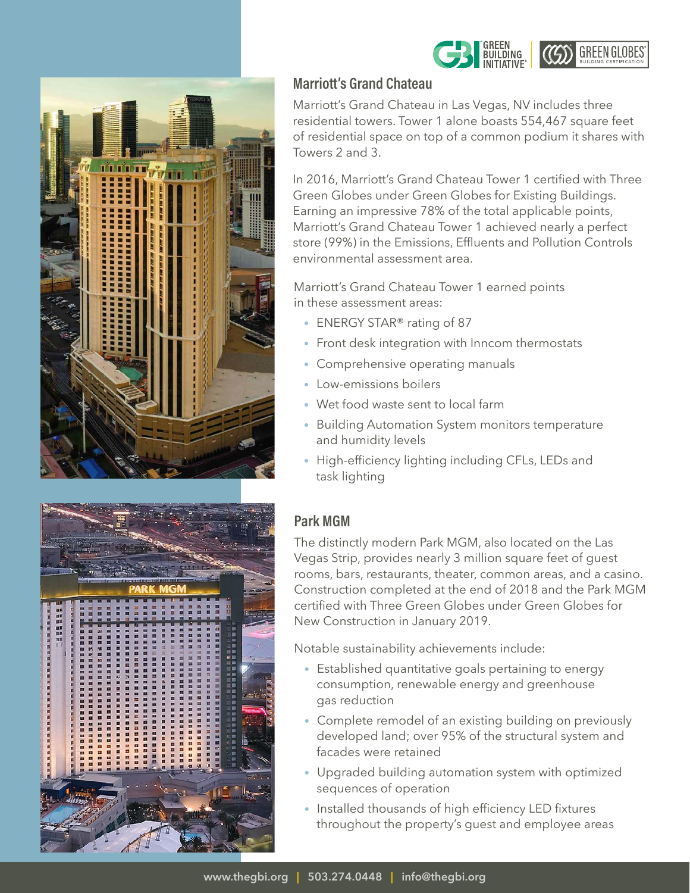



## **Marriott's Grand Chateau**

Marriott's Grand Chateau in Las Vegas, NV includes three residential towers. Tower 1 alone boasts 554,467 square feet of residential space on top of a common podium it shares with Towers 2 and 3.

**BUILDING** 

**CESS** GREEN GLOBES

In 2016, Marriott's Grand Chateau Tower 1 certified with Three Green Globes under Green Globes for Existing Buildings. Earning an impressive 78% of the total applicable points, Marriott's Grand Chateau Tower 1 achieved nearly a perfect store (99%) in the Emissions, Effluents and Pollution Controls environmental assessment area.

Marriott's Grand Chateau Tower 1 earned points in these assessment areas:

- ENERGY STAR® rating of 87
- Front desk integration with Inncom thermostats
- Comprehensive operating manuals
- Low-emissions boilers
- Wet food waste sent to local farm
- Building Automation System monitors temperature and humidity levels
- High-efficiency lighting including CFLs, LEDs and task lighting

## **Park MGM**

The distinctly modern Park MGM, also located on the Las Vegas Strip, provides nearly 3 million square feet of guest rooms, bars, restaurants, theater, common areas, and a casino. Construction completed at the end of 2018 and the Park MGM certified with Three Green Globes under Green Globes for New Construction in January 2019.

Notable sustainability achievements include:

- Established quantitative goals pertaining to energy consumption, renewable energy and greenhouse gas reduction
- Complete remodel of an existing building on previously developed land; over 95% of the structural system and facades were retained
- Upgraded building automation system with optimized sequences of operation
- Installed thousands of high efficiency LED fixtures throughout the property's guest and employee areas